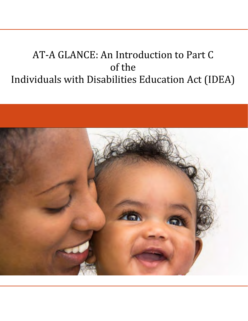# AT-A GLANCE: An Introduction to Part C of the Individuals with Disabilities Education Act (IDEA)

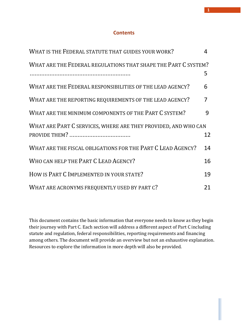# **Contents**

| WHAT IS THE FEDERAL STATUTE THAT GUIDES YOUR WORK?             | 4  |  |
|----------------------------------------------------------------|----|--|
| WHAT ARE THE FEDERAL REGULATIONS THAT SHAPE THE PART C SYSTEM? |    |  |
|                                                                | 5  |  |
| WHAT ARE THE FEDERAL RESPONSIBILITIES OF THE LEAD AGENCY?      | 6  |  |
| WHAT ARE THE REPORTING REQUIREMENTS OF THE LEAD AGENCY?        | 7  |  |
| WHAT ARE THE MINIMUM COMPONENTS OF THE PART C SYSTEM?          | 9  |  |
| WHAT ARE PART C SERVICES, WHERE ARE THEY PROVIDED, AND WHO CAN |    |  |
|                                                                | 12 |  |
| WHAT ARE THE FISCAL OBLIGATIONS FOR THE PART C LEAD AGENCY?    | 14 |  |
| WHO CAN HELP THE PART C LEAD AGENCY?                           | 16 |  |
| HOW IS PART C IMPLEMENTED IN YOUR STATE?                       | 19 |  |
| WHAT ARE ACRONYMS FREQUENTLY USED BY PART C?                   | 21 |  |

This document contains the basic information that everyone needs to know as they begin their journey with Part C. Each section will address a different aspect of Part C including statute and regulation, federal responsibilities, reporting requirements and financing among others. The document will provide an overview but not an exhaustive explanation. Resources to explore the information in more depth will also be provided.

**1**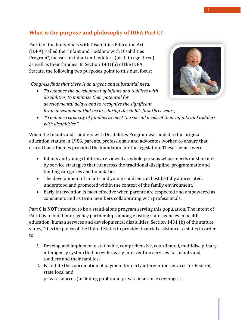# **What is the purpose and philosophy of IDEA Part C?**

Part C of the Individuals with Disabilities Education Act (IDEA), called the "Infant and Toddlers with Disabilities Program", focuses on infant and toddlers (birth to age three) as well as their families. In Section 1431(a) of the IDEA Statute, the following two purposes point to this dual focus:

*"Congress finds that there is an urgent and substantial need:*

• *To enhance the development of infants and toddlers with disabilities, to minimize their potential for developmental delays and to recognize the significant brain development that occurs during the child's first three years;*



• *To enhance capacity of families to meet the special needs of their infants and toddlers with disabilities."*

When the Infants and Toddlers with Disabilities Program was added to the original education statute in 1986, parents, professionals and advocates worked to ensure that crucial basic themes provided the foundation for the legislation. These themes were:

- Infants and young children are viewed as whole persons whose needs must be met by service strategies that cut across the traditional discipline, programmatic and funding categories and boundaries.
- The development of infants and young children can best be fully appreciated, understood and promoted within the context of the family environment.
- Early intervention is most effective when parents are respected and empowered as consumers and as team members collaborating with professionals.

Part C is **NOT** intended to be a stand‐alone program serving this population. The intent of Part C is to build interagency partnerships among existing state agencies in health, education, human services and developmental disabilities. Section 1431 (b) of the statute states, "It is the policy of the United States to provide financial assistance to states in order to:

- 1. Develop and implement a statewide, comprehensive, coordinated, multidisciplinary, interagency system that provides early intervention services for infants and toddlers and their families;
- 2. Facilitate the coordination of payment for early intervention services for Federal, state local and

private sources (including public and private insurance coverage);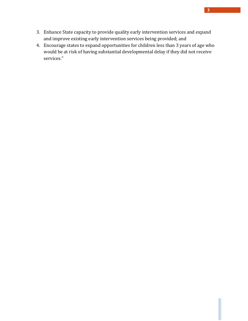- 3. Enhance State capacity to provide quality early intervention services and expand and improve existing early intervention services being provided; and
- 4. Encourage states to expand opportunities for children less than 3 years of age who would be at risk of having substantial developmental delay if they did not receive services."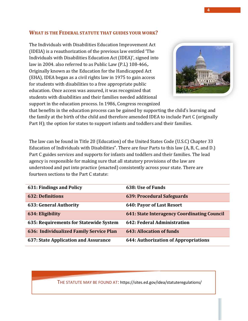#### <span id="page-4-0"></span>**WHAT IS THE FEDERAL STATUTE THAT GUIDES YOUR WORK?**

The Individuals with Disabilities Education Improvement Act (IDEIA) is a reauthorization of the previous law entitled 'The Individuals with Disabilities Education Act (IDEA)', signed into law in 2004. also referred to as Public Law (P.L) 108‐466,. Originally known as the Education for the Handicapped Act (EHA), IDEA began as a civil rights law in 1975 to gain access for students with disabilities to a free appropriate public education. Once access was assured, it was recognized that students with disabilities and their families needed additional support in the education process. In 1986, Congress recognized



that benefits in the education process can be gained by supporting the child's learning and the family at the birth of the child and therefore amended IDEA to include Part C (originally Part H); the option for states to support infants and toddlers and their families.

The law can be found in Title 20 (Education) of the United States Code (U.S.C) Chapter 33 Education of Individuals with Disabilities". There are four Parts to this law (A, B, C, and D.) Part C guides services and supports for infants and toddlers and their families. The lead agency is responsible for making sure that all statutory provisions of the law are understood and put into practice (enacted) consistently across your state. There are fourteen sections to the Part C statute:

| 631: Findings and Policy                | 638: Use of Funds                           |
|-----------------------------------------|---------------------------------------------|
| <b>632: Definitions</b>                 | 639: Procedural Safeguards                  |
| <b>633: General Authority</b>           | 640: Payor of Last Resort                   |
| 634: Eligibility                        | 641: State Interagency Coordinating Council |
| 635: Requirements for Statewide System  | 642: Federal Administration                 |
| 636: Individualized Family Service Plan | 643: Allocation of funds                    |
| 637: State Application and Assurance    | 644: Authorization of Appropriations        |

THE STATUTE MAY BE FOUND AT: https://sites.ed.gov/idea/statuteregulations/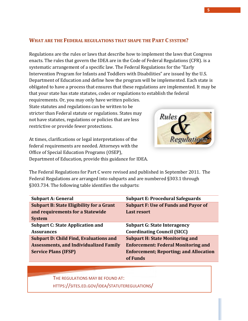## <span id="page-5-0"></span>**WHAT ARE THE FEDERAL REGULATIONS THAT SHAPE THE PART C SYSTEM?**

Regulations are the rules or laws that describe how to implement the laws that Congress enacts. The rules that govern the IDEA are in the Code of Federal Regulations (CFR). is a systematic arrangement of a specific law. The Federal Regulations for the "Early Intervention Program for Infants and Toddlers with Disabilities" are issued by the U.S. Department of Education and define how the program will be implemented. Each state is obligated to have a process that ensures that these regulations are implemented. It may be that your state has state statutes, codes or regulations to establish the federal

Rules

requirements. Or, you may only have written policies. State statutes and regulations can be written to be stricter than Federal statute or regulations. States may not have statutes, regulations or policies that are less restrictive or provide fewer protections.

At times, clarifications or legal interpretations of the federal requirements are needed. Attorneys with the Office of Special Education Programs (OSEP),

Department of Education, provide this guidance for IDEA. The Federal Regulations for Part C were revised and published in September 2011. The Federal Regulations are arranged into subparts and are numbered §303.1 through §303.734. The following table identifies the subparts:

| <b>Subpart A: General</b>                       | <b>Subpart E: Procedural Safeguards</b>       |
|-------------------------------------------------|-----------------------------------------------|
| <b>Subpart B: State Eligibility for a Grant</b> | <b>Subpart F: Use of Funds and Payor of</b>   |
| and requirements for a Statewide                | <b>Last resort</b>                            |
| <b>System</b>                                   |                                               |
| <b>Subpart C: State Application and</b>         | <b>Subpart G: State Interagency</b>           |
| <b>Assurances</b>                               | <b>Coordinating Council (SICC)</b>            |
| <b>Subpart D: Child Find, Evaluations and</b>   | <b>Subpart H: State Monitoring and</b>        |
| <b>Assessments, and Individualized Family</b>   | <b>Enforcement: Federal Monitoring and</b>    |
| <b>Service Plans (IFSP)</b>                     | <b>Enforcement; Reporting; and Allocation</b> |
|                                                 | of Funds                                      |

THE REGULATIONS MAY BE FOUND AT:

HTTPS://SITES.ED.GOV/IDEA/STATUTEREGULATIONS/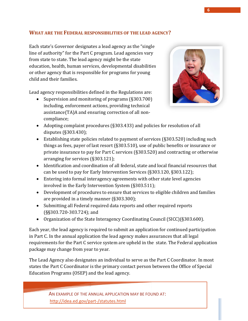# <span id="page-6-0"></span>**WHAT ARE THE FEDERAL RESPONSIBILITIES OF THE LEAD AGENCY?**

Each state's Governor designates a lead agency as the "single line of authority" for the Part C program. Lead agencies vary from state to state. The lead agency might be the state education, health, human services, developmental disabilities or other agency that is responsible for programs for young child and their families.

Lead agency responsibilities defined in the Regulations are:

• Supervision and monitoring of programs (§303.700) including, enforcement actions, providing technical assistance(TA)A and ensuring correction of all non‐ compliance;



- Adopting complaint procedures (§303.433) and policies for resolution of all disputes (§303.430);
- Establishing state policies related to payment of services (§303.520) including such things as fees, payer of last resort (§303.510), use of public benefits or insurance or private insurance to pay for Part C services (§303.520) and contracting or otherwise arranging for services (§303.121);
- Identification and coordination of all federal, state and local financial resources that can be used to pay for Early Intervention Services (§303.120, §303.122);
- Entering into formal interagency agreements with other state level agencies involved in the Early Intervention System (§303.511);
- Development of procedures to ensure that services to eligible children and families are provided in a timely manner (§303.300);
- Submitting all Federal required data reports and other required reports (§§303.720-303.724); and
- Organization of the State Interagency Coordinating Council (SICC)(§303.600).

Each year, the lead agency is required to submit an application for continued participation in Part C. In the annual application the lead agency makes assurances that all legal requirements for the Part C service system are upheld in the state. The Federal application package may change from year to year.

The Lead Agency also designates an individual to serve as the Part C Coordinator. In most states the Part C Coordinator is the primary contact person between the Office of Special Education Programs (OSEP) and the lead agency.

> AN EXAMPLE OF THE ANNUAL APPLICATION MAY BE FOUND AT: <http://idea.ed.gov/part-/statutes.html>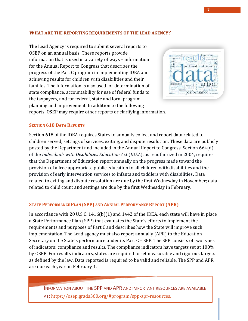#### <span id="page-7-0"></span>**WHAT ARE THE REPORTING REQUIREMENTS OF THE LEAD AGENCY?**

The Lead Agency is required to submit several reports to OSEP on an annual basis. These reports provide information that is used in a variety of ways – information for the Annual Report to Congress that describes the progress of the Part C program in implementing IDEA and achieving results for children with disabilities and their families. The information is also used for determination of state compliance, accountability for use of federal funds to the taxpayers, and for federal, state and local program planning and improvement. In addition to the following



reports, OSEP may require other reports or clarifying information.

#### **SECTION 618 DATA REPORTS**

Section 618 of the IDEA requires States to annually collect and report data related to children served, settings of services, exiting, and dispute resolution. These data are publicly posted by the Department and included in the Annual Report to Congress. Section 664(d) of the *Individuals with Disabilities Education Act* (*IDEA*), as reauthorized in 2004, requires that the Department of Education report annually on the progress made toward the provision of a free appropriate public education to all children with disabilities and the provision of early intervention services to infants and toddlers with disabilities. Data related to exiting and dispute resolution are due by the first Wednesday in November; data related to child count and settings are due by the first Wednesday in February.

#### **STATE PERFORMANCE PLAN (SPP) AND ANNUAL PERFORMANCE REPORT (APR)**

In accordance with 20 U.S.C. 1416(b)(1) and 1442 of the IDEA, each state will have in place a State Performance Plan (SPP) that evaluates the State's efforts to implement the requirements and purposes of Part C and describes how the State will improve such implementation. The Lead agency must also report annually (APR) to the Education Secretary on the State's performance under its Part C – SPP. The SPP consists of two types of indicators: compliance and results. The compliance indicators have targets set at 100% by OSEP. For results indicators, states are required to set measurable and rigorous targets as defined by the law. Data reported is required to be valid and reliable. The SPP and APR are due each year on February 1.

INFORMATION ABOUT THE SPP AND APR AND IMPORTANT RESOURCES ARE AVAILABLE AT: [https://osep.grads360.org/#program/spp-apr-resources.](https://osep.grads360.org/#program/spp-apr-resources)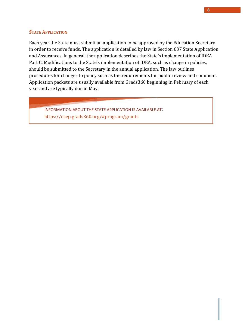#### **STATE APPLICATION**

Each year the State must submit an application to be approved by the Education Secretary in order to receive funds. The application is detailed by law in Section 637 State Application and Assurances. In general, the application describes the State's implementation of IDEA Part C. Modifications to the State's implementation of IDEA, such as change in policies, should be submitted to the Secretary in the annual application. The law outlines procedures for changes to policy such as the requirements for public review and comment. Application packets are usually available from Grads360 beginning in February of each year and are typically due in May.

<span id="page-8-0"></span>INFORMATION ABOUT THE STATE APPLICATION IS AVAILABLE AT: https://osep.grads360.org/#program/grants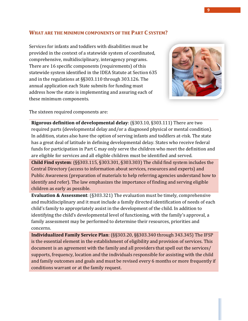## **WHAT ARE THE MINIMUM COMPONENTS OF THE PART C SYSTEM?**

Services for infants and toddlers with disabilities must be provided in the context of a statewide system of coordinated, comprehensive, multidisciplinary, interagency programs. There are 16 specific components (requirements) of this statewide system identified in the IDEA Statute at Section 635 and in the regulations at §§303.110 through 303.126. The annual application each State submits for funding must address how the state is implementing and assuring each of these minimum components.



The sixteen required components are:

**Rigorous definition of developmental delay**: (§303.10, §303.111) There are two required parts (developmental delay and/or a diagnosed physical or mental condition). In addition, states also have the option of serving infants and toddlers at-risk. The state has a great deal of latitude in defining developmental delay. States who receive federal funds for participation in Part C may only serve the children who meet the definition and are eligible for services and all eligible children must be identified and served.

**Child Find system**: (§§303.115, §303.301, §303.303) The child find system includes the Central Directory (access to information about services, resources and experts) and Public Awareness (preparation of materials to help referring agencies understand how to identify and refer). The law emphasizes the importance of finding and serving eligible children as early as possible.

**Evaluation & Assessment**: (§303.321) The evaluation must be timely, comprehensive and multidisciplinary and it must include a family directed identification of needs of each child's family to appropriately assist in the development of the child. In addition to identifying the child's developmental level of functioning, with the family's approval, a family assessment may be performed to determine their resources, priorities and concerns.

**Individualized Family Service Plan**: (§§303.20, §§303.340 through 343.345) The IFSP is the essential element in the establishment of eligibility and provision of services. This document is an agreement with the family and all providers that spell out the services/ supports, frequency, location and the individuals responsible for assisting with the child and family outcomes and goals and must be revised every 6 months or more frequently if conditions warrant or at the family request.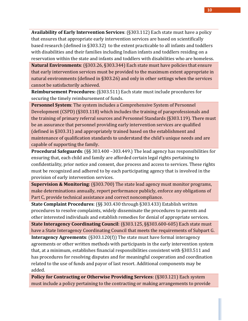**Availability of Early Intervention Services**: (§303.112) Each state must have a policy that ensures that appropriate early intervention services are based on scientifically based research (defined in §303.32) to the extent practicable to all infants and toddlers with disabilities and their families including Indian infants and toddlers residing on a reservation within the state and infants and toddlers with disabilities who are homeless.

**Natural Environments**: (§303.26, §303.344) Each state must have policies that ensure that early intervention services must be provided to the maximum extent appropriate in natural environments (defined in §303.26) and only in other settings when the services cannot be satisfactorily achieved.

**Reimbursement Procedures:** (§303.511) Each state must include procedures for securing the timely reimbursement of funds.

**Personnel System**: The system includes a Comprehensive System of Personnel Development (CSPD) (§303.118) which includes the training of paraprofessionals and the training of primary referral sources and Personnel Standards (§303.119). There must be an assurance that personnel providing early intervention services are qualified (defined in §303.31) and appropriately trained based on the establishment and maintenance of qualification standards to understand the child's unique needs and are capable of supporting the family.

**Procedural Safeguards**: (§§ 303.400 –303.449.) The lead agency has responsibilities for ensuring that, each child and family are afforded certain legal rights pertaining to confidentiality, prior notice and consent, due process and access to services. These rights must be recognized and adhered to by each participating agency that is involved in the provision of early intervention services.

**Supervision & Monitoring**: (§303.700) The state lead agency must monitor programs, make determinations annually, report performance publicly, enforce any obligations of Part C, provide technical assistance and correct noncompliance.

**State Complaint Procedures**: (§§ 303.430 through §303.433) Establish written procedures to resolve complaints, widely disseminate the procedures to parents and other interested individuals and establish remedies for denial of appropriate services.

**State Interagency Coordinating Council**: (§303.125, §§303.600-605) Each state must have a State Interagency Coordinating Council that meets the requirements of Subpart G.

**Interagency Agreements**: (§303.120(f)) The state must have formal interagency agreements or other written methods with participants in the early intervention system that, at a minimum, establishes financial responsibilities consistent with §303.511 and has procedures for resolving disputes and for meaningful cooperation and coordination related to the use of funds and payor of last resort. Additional components may be added.

**Policy for Contracting or Otherwise Providing Services**: (§303.121) Each system must include a policy pertaining to the contracting or making arrangements to provide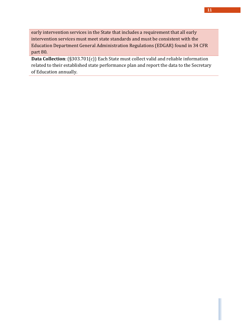early intervention services in the State that includes a requirement that all early intervention services must meet state standards and must be consistent with the Education Department General Administration Regulations (EDGAR) found in 34 CFR part 80.

**Data Collection**: (§303.701(c)) Each State must collect valid and reliable information related to their established state performance plan and report the data to the Secretary of Education annually.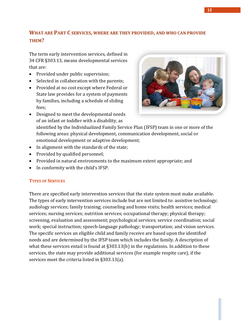# <span id="page-12-0"></span>**WHAT ARE PART C SERVICES, WHERE ARE THEY PROVIDED, AND WHO CAN PROVIDE THEM?**

The term early intervention services, defined in 34 CFR §303.13, means developmental services that are:

- Provided under public supervision;
- Selected in collaboration with the parents;
- Provided at no cost except where Federal or State law provides for a system of payments by families, including a schedule of sliding fees;
- 
- Designed to meet the developmental needs of an infant or toddler with a disability, as
	- identified by the Individualized Family Service Plan (IFSP) team in one or more of the following areas: physical development, communication development, social or emotional development or adaptive development;
- In alignment with the standards of the state;
- Provided by qualified personnel;
- Provided in natural environments to the maximum extent appropriate; and
- In conformity with the child's IFSP.

#### **TYPES OF SERVICES**

There are specified early intervention services that the state system must make available. The types of early intervention services include but are not limited to: assistive technology; audiology services; family training; counseling and home visits; health services; medical services; nursing services; nutrition services; occupational therapy; physical therapy; screening, evaluation and assessment; psychological services; service coordination; social work; special instruction; speech‐language pathology; transportation; and vision services. The specific services an eligible child and family receive are based upon the identified needs and are determined by the IFSP team which includes the family. A description of what these services entail is found at  $\S 303.13(b)$  in the regulations. In addition to these services, the state may provide additional services (for example respite care), if the services meet the criteria listed in §303.13(a).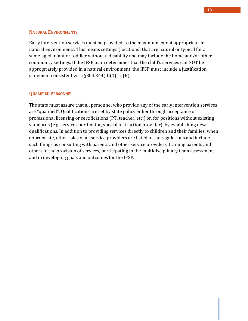#### **NATURAL ENVIRONMENTS**

Early intervention services must be provided, to the maximum extent appropriate, in natural environments. This means settings (locations) that are natural or typical for a same‐aged infant or toddler without a disability and may include the home and/or other community settings. If the IFSP team determines that the child's services can NOT be appropriately provided in a natural environment, the IFSP must include a justification statement consistent with  $\S 303.344(d)(1)(ii)(B)$ .

#### **QUALIFIED PERSONNEL**

The state must assure that all personnel who provide any of the early intervention services are "qualified". Qualifications are set by state policy either through acceptance of professional licensing or certifications (PT, teacher, etc.) or, for positions without existing standards (e.g. service coordinator, special instruction provider), by establishing new qualifications. In addition to providing services directly to children and their families, when appropriate, other roles of all service providers are listed in the regulations and include such things as consulting with parents and other service providers, training parents and others in the provision of services, participating in the multidisciplinary team assessment and in developing goals and outcomes for the IFSP.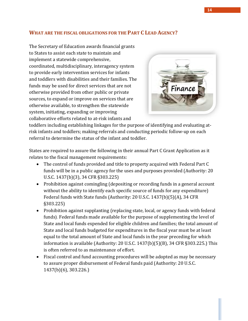# <span id="page-14-0"></span>**WHAT ARE THE FISCAL OBLIGATIONS FOR THE PART C LEAD AGENCY?**

The Secretary of Education awards financial grants to States to assist each state to maintain and implement a statewide comprehensive, coordinated, multidisciplinary, interagency system to provide early intervention services for infants and toddlers with disabilities and their families. The funds may be used for direct services that are not otherwise provided from other public or private sources, to expand or improve on services that are otherwise available, to strengthen the statewide system, initiating, expanding or improving collaborative efforts related to at‐risk infants and



toddlers including establishing linkages for the purpose of identifying and evaluating at‐ risk infants and toddlers; making referrals and conducting periodic follow‐up on each referral to determine the status of the infant and toddler.

States are required to assure the following in their annual Part C Grant Application as it relates to the fiscal management requirements:

- The control of funds provided and title to property acquired with Federal Part C funds will be in a public agency for the uses and purposes provided (Authority: 20 U.S.C. 1437(b)(3), 34 CFR §303.225)
- Prohibition against comingling (depositing or recording funds in a general account without the ability to identify each specific source of funds for any expenditure) Federal funds with State funds (Authority: 20 U.S.C. 1437(b)(5)(A), 34 CFR §303.225)
- Prohibition against supplanting (replacing state, local, or agency funds with federal funds). Federal funds made available for the purpose of supplementing the level of State and local funds expended for eligible children and families; the total amount of State and local funds budgeted for expenditures in the fiscal year must be at least equal to the total amount of State and local funds in the year preceding for which information is available (Authority: 20 U.S.C. 1437(b)(5)(B), 34 CFR §303.225.) This is often referred to as maintenance of effort.
- Fiscal control and fund accounting procedures will be adopted as may be necessary to assure proper disbursement of Federal funds paid (Authority: 20 U.S.C. 1437(b)(6), 303.226.)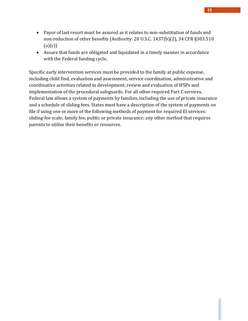- Payor of last resort must be assured as it relates to non‐substitution of funds and non‐reduction of other benefits (Authority: 20 U.S.C. 1437(b)(2), 34 CFR §303.510  $(a)(c))$
- Assure that funds are obligated and liquidated in a timely manner in accordance with the Federal funding cycle.

Specific early intervention services must be provided to the family at public expense, including child find, evaluation and assessment, service coordination, administrative and coordinative activities related to development, review and evaluation of IFSPs and implementation of the procedural safeguards. For all other required Part C services, Federal law allows a system of payments by families, including the use of private insurance and a schedule of sliding fees. States must have a description of the system of payments on file if using one or more of the following methods of payment for required EI services: sliding‐fee scale; family fee; public or private insurance; any other method that requires parents to utilize their benefits or resources.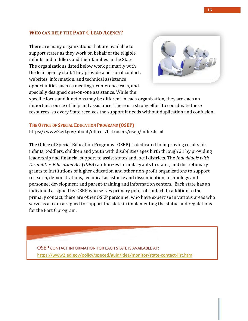#### <span id="page-16-0"></span>**WHO CAN HELP THE PART C LEAD AGENCY?**

There are many organizations that are available to support states as they work on behalf of the eligible infants and toddlers and their families in the State. The organizations listed below work primarily with the lead agency staff. They provide a personal contact, websites, information, and technical assistance opportunities such as meetings, conference calls, and specially designed one‐on‐one assistance. While the



specific focus and functions may be different in each organization, they are each an important source of help and assistance. There is a strong effort to coordinate these resources, so every State receives the support it needs without duplication and confusion.

#### **THE OFFICE OF SPECIAL EDUCATION PROGRAMS (OSEP)**

<https://www2.ed.gov/about/offices/list/osers/osep/index.html>

The Office of Special Education Programs (OSEP) is dedicated to improving results for infants, toddlers, children and youth with disabilities ages birth through 21 by providing leadership and financial support to assist states and local districts. The *Individuals with Disabilities Education Act* (*IDEA*) authorizes formula grants to states, and discretionary grants to institutions of higher education and other non‐profit organizations to support research, demonstrations, technical assistance and dissemination, technology and personnel development and parent‐training and information centers. Each state has an individual assigned by OSEP who serves primary point of contact. In addition to the primary contact, there are other OSEP personnel who have expertise in various areas who serve as a team assigned to support the state in implementing the statue and regulations for the Part C program.

OSEP CONTACT INFORMATION FOR EACH STATE IS AVAILABLE AT: <https://www2.ed.gov/policy/speced/guid/idea/monitor/state-contact-list.htm>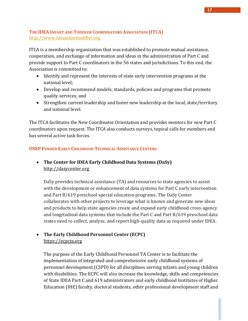## **THE IDEA INFANT AND TODDLER COORDINATORS ASSOCIATION (ITCA)** [http://www.ideainfanttoddler.org](AT%20A%20GLANCE%20An%20Introduction%20to%20Part%20C.docx)

ITCA is a membership organization that was established to promote mutual assistance, cooperation, and exchange of information and ideas in the administration of Part C and provide support to Part C coordinators in the 56 states and jurisdictions. To this end, the Association is committed to:

- Identify and represent the interests of state early intervention programs at the national level;
- Develop and recommend models, standards, policies and programs that promote quality services; and
- Strengthen current leadership and foster new leadership at the local, state/territory and national level.

The ITCA facilitates the New Coordinator Orientation and provides mentors for new Part C coordinators upon request. The ITCA also conducts surveys, topical calls for members and has several active task forces.

## **OSEP FUNDED EARLY CHILDHOOD TECHNICAL ASSISTANCE CENTERS**

# • **The Center for IDEA Early Childhood Data Systems (DaSy)** [http://dasycenter.org](http://dasycenter.org/)

DaSy provides technical assistance (TA) and resources to state agencies to assist with the development or enhancement of data systems for Part C early intervention and Part B/619 preschool special education programs. The DaSy Center collaborates with other projects to leverage what is known and generate new ideas and products to help state agencies create and expand early childhood cross-agency and longitudinal data systems that include the Part C and Part B/619 preschool data states need to collect, analyze, and report high-quality data as required under IDEA.

# • **The Early Childhood Personnel Center (ECPC)** [https://ecpcta.org](https://ecpcta.org/)

The purpose of the Early Childhood Personnel TA Center is to facilitate the implementation of integrated and comprehensive early childhood systems of personnel development (CSPD) for all disciplines serving infants and young children with disabilities. The ECPC will also increase the knowledge, skills and competencies of State IDEA Part C and 619 administrators and early childhood Institutes of Higher Education (IHE) faculty, doctoral students, other professional development staff and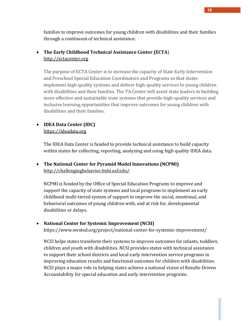families to improve outcomes for young children with disabilities and their families through a continuum of technical assistance.

# • **The Early Childhood Technical Assistance Center (ECTA**) [http://ectacenter.org](http://ectacenter.org/)

The purpose of ECTA Center is to increase the capacity of State Early Intervention and Preschool Special Education Coordinators and Programs so that states implement high-quality systems and deliver high-quality services to young children with disabilities and their families. The TA Center will assist state leaders in building more effective and sustainable state systems that provide high-quality services and inclusive learning opportunities that improve outcomes for young children with disabilities and their families.

# • **IDEA Data Center (IDC)**

#### [https://ideadata.org](https://ideadata.org/)

The IDEA Data Center is funded to provide technical assistance to build capacity within states for collecting, reporting, analyzing and using high quality IDEA data.

# • **The National Center for Pyramid Model Innovations (NCPMI)**  <http://challengingbehavior.fmhi.usf.edu/>

NCPMI is funded by the Office of Special Education Programs to improve and support the capacity of state systems and local programs to implement an early childhood multi-tiered system of support to improve the social, emotional, and behavioral outcomes of young children with, and at risk for, developmental disabilities or delays.

## • **National Center for Systemic Improvement (NCSI)**

https://www.wested.org/project/national-center-for-systemic-improvement/

NCSI helps states transform their systems to improve outcomes for infants, toddlers, children and youth with disabilities. NCSI provides states with technical assistance to support their school districts and local early intervention service programs in improving education results and functional outcomes for children with disabilities. NCSI plays a major role in helping states achieve a national vision of Results-Driven Accountability for special education and early intervention programs.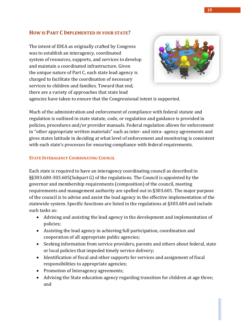# <span id="page-19-0"></span>**HOW IS PART C IMPLEMENTED IN YOUR STATE?**

The intent of IDEA as originally crafted by Congress was to establish an interagency, coordinated system of resources, supports, and services to develop and maintain a coordinated infrastructure. Given the unique nature of Part C, each state lead agency is charged to facilitate the coordination of necessary services to children and families. Toward that end, there are a variety of approaches that state lead



agencies have taken to ensure that the Congressional intent is supported.

Much of the administration and enforcement of compliance with federal statute and regulation is outlined in state statute, code, or regulation and guidance is provided in policies, procedures and/or provider manuals. Federal regulation allows for enforcement in "other appropriate written materials" such as inter‐ and intra‐ agency agreements and gives states latitude in deciding at what level of enforcement and monitoring is consistent with each state's processes for ensuring compliance with federal requirements.

#### **STATE INTERAGENCY COORDINATING COUNCIL**

Each state is required to have an interagency coordinating council as described in §§303.600‐303.605(Subpart G) of the regulations. The Council is appointed by the governor and membership requirements (composition) of the council, meeting requirements and management authority are spelled out in §303.601. The major purpose of the council is to advise and assist the lead agency in the effective implementation of the statewide system. Specific functions are listed in the regulations at §303.604 and include such tasks as:

- Advising and assisting the lead agency in the development and implementation of policies;
- Assisting the lead agency in achieving full participation, coordination and cooperation of all appropriate public agencies;
- Seeking information from service providers, parents and others about federal, state or local policies that impeded timely service delivery;
- Identification of fiscal and other supports for services and assignment of fiscal responsibilities to appropriate agencies;
- Promotion of Interagency agreements;
- Advising the State education agency regarding transition for children at age three; and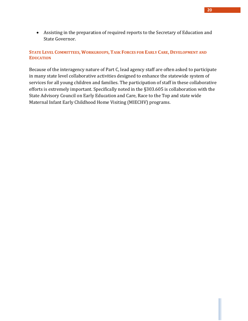• Assisting in the preparation of required reports to the Secretary of Education and State Governor.

#### STATE LEVEL COMMITTEES, WORKGROUPS, TASK FORCES FOR EARLY CARE, DEVELOPMENT AND **EDUCATION**

Because of the interagency nature of Part C, lead agency staff are often asked to participate in many state level collaborative activities designed to enhance the statewide system of services for all young children and families. The participation of staff in these collaborative efforts is extremely important. Specifically noted in the §303.605 is collaboration with the State Advisory Council on Early Education and Care, Race to the Top and state wide Maternal Infant Early Childhood Home Visiting (MIECHV) programs.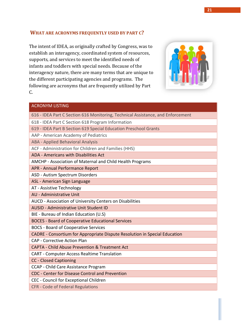#### <span id="page-21-0"></span>**WHAT ARE ACRONYMS FREQUENTLY USED BY PART C?**

The intent of IDEA, as originally crafted by Congress, was to establish an interagency, coordinated system of resources, supports, and services to meet the identified needs of infants and toddlers with special needs. Because of the interagency nature, there are many terms that are unique to the different participating agencies and programs. The following are acronyms that are frequently utilized by Part C.



#### ACRONYM LISTING

- 616 IDEA Part C Section 616 Monitoring, Technical Assistance, and Enforcement
- 618 IDEA Part C Section 618 Program Information
- 619 IDEA Part B Section 619 Special Education Preschool Grants
- AAP American Academy of Pediatrics
- ABA Applied Behavioral Analysis
- ACF Administration for Children and Families (HHS)
- ADA Americans with Disabilities Act
- AMCHP Association of Maternal and Child Health Programs
- APR Annual Performance Report
- ASD Autism Spectrum Disorders
- ASL American Sign Language
- AT Assistive Technology
- AU Administrative Unit
- AUCD Association of University Centers on Disabilities
- AUSID Administrative Unit Student ID
- BIE Bureau of Indian Education (U.S)
- BOCES Board of Cooperative Educational Services
- BOCS Board of Cooperative Services
- CADRE Consortium for Appropriate Dispute Resolution in Special Education
- CAP Corrective Action Plan
- CAPTA Child Abuse Prevention & Treatment Act
- CART Computer Access Realtime Translation
- CC Closed Captioning
- CCAP Child Care Assistance Program
- CDC Center for Disease Control and Prevention
- CEC Council for Exceptional Children
- CFR Code of Federal Regulations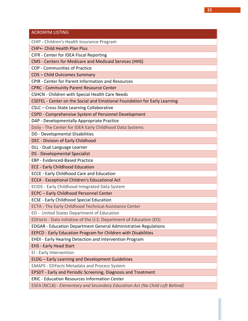| <b>ACRONYM LISTING</b>                                                      |
|-----------------------------------------------------------------------------|
|                                                                             |
| CHIP - Children's Health Insurance Program                                  |
| CHP+- Child Health Plan Plus                                                |
| CIFR - Center for IDEA Fiscal Reporting                                     |
| CMS - Centers for Medicare and Medicaid Services (HHS)                      |
| <b>COP - Communities of Practice</b>                                        |
| <b>COS-Child Outcomes Summary</b>                                           |
| <b>CPIR - Center for Parent Information and Resources</b>                   |
| <b>CPRC - Community Parent Resource Center</b>                              |
| <b>CSHCN - Children with Special Health Care Needs</b>                      |
| CSEFEL - Center on the Social and Emotional Foundation for Early Learning   |
| CSLC - Cross-State Learning Collaborative                                   |
| CSPD - Comprehensive System of Personnel Development                        |
| DAP - Developmentally Appropriate Practice                                  |
| DaSy - The Center for IDEA Early Childhood Data Systems                     |
| DD - Developmental Disabilities                                             |
| DEC - Division of Early Childhood                                           |
| DLL - Dual Language Learner                                                 |
| <b>DS</b> - Developmental Specialist                                        |
| <b>EBP - Evidenced-Based Practice</b>                                       |
| <b>ECE - Early Childhood Education</b>                                      |
| <b>ECCE - Early Childhood Care and Education</b>                            |
| <b>ECEA - Exceptional Children's Educational Act</b>                        |
| ECIDS - Early Childhood Integrated Data System                              |
| <b>ECPC - Early Childhood Personnel Center</b>                              |
| <b>ECSE - Early Childhood Special Education</b>                             |
| ECTA - The Early Childhood Technical Assistance Center                      |
| ED - United States Department of Education                                  |
| EDFacts - Data initiative of the U.S. Department of Education (ED)          |
| <b>EDGAR - Education Department General Administrative Regulations</b>      |
| EEPCD - Early Education Program for Children with Disabilities              |
| EHDI - Early Hearing Detection and Intervention Program                     |
| <b>EHS - Early Head Start</b>                                               |
| EI - Early Intervention                                                     |
| <b>ELDG</b> - Early Learning and Development Guidelines                     |
| <b>EMAPS - EDFacts Metadata and Process System</b>                          |
| EPSDT - Early and Periodic Screening, Diagnosis and Treatment               |
| <b>ERIC - Education Resources Information Center</b>                        |
| ESEA (NCLB) - Elementary and Secondary Education Act (No Child Left Behind) |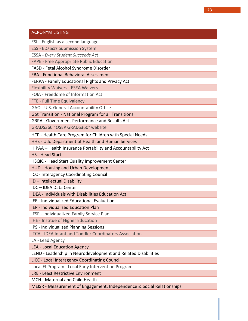| <b>ACRONYM LISTING</b>                                                 |
|------------------------------------------------------------------------|
| ESL - English as a second language                                     |
| <b>ESS - EDFacts Submission System</b>                                 |
| <b>ESSA - Every Student Succeeds Act</b>                               |
| FAPE - Free Appropriate Public Education                               |
| FASD - Fetal Alcohol Syndrome Disorder                                 |
| FBA - Functional Behavioral Assessment                                 |
| FERPA - Family Educational Rights and Privacy Act                      |
| <b>Flexibility Waivers - ESEA Waivers</b>                              |
| FOIA - Freedome of Information Act                                     |
| FTE - Full Time Equivalency                                            |
| GAO - U.S. General Accountability Office                               |
| <b>Got Transition - National Program for all Transitions</b>           |
| <b>GRPA - Government Performance and Results Act</b>                   |
| GRADS360 <sup>-</sup> OSEP GRADS360° website                           |
| HCP - Health Care Program for Children with Special Needs              |
| HHS - U.S. Department of Health and Human Services                     |
| HIPAA - Health Insurance Portability and Accountability Act            |
| <b>HS - Head Start</b>                                                 |
| HSQIC - Head Start Quality Improvement Center                          |
| HUD - Housing and Urban Development                                    |
| ICC - Interagency Coordinating Council                                 |
| ID - Intellectual Disability                                           |
| IDC - IDEA Data Center                                                 |
| <b>IDEA - Individuals with Disabilities Education Act</b>              |
| <b>IEE - Individualized Educational Evaluation</b>                     |
| IEP - Individualized Education Plan                                    |
| IFSP - Individualized Family Service Plan                              |
| IHE - Institue of Higher Education                                     |
| <b>IPS - Individualized Planning Sessions</b>                          |
| <b>ITCA - IDEA Infant and Toddler Coordinators Association</b>         |
| LA - Lead Agency                                                       |
| LEA - Local Education Agency                                           |
| LEND - Leadership in Neurodevelopment and Related Disabilities         |
| LICC - Local Interagency Coordinating Council                          |
| Local El Program - Local Early Intervention Program                    |
| LRE - Least Restrictive Environment                                    |
| MCH - Maternal and Child Health                                        |
| MEISR - Measurement of Engagement, Independence & Social Relationships |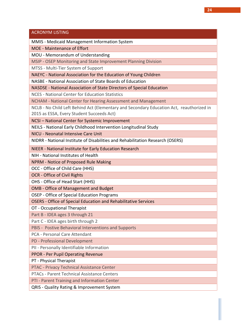#### ACRONYM LISTING

MMIS - Medicaid Management Information System

MOE - Maintenance of Effort

MOU - Memorandum of Understanding

MSIP - OSEP Monitoring and State Improvement Planning Division

MTSS - Multi-Tier System of Support

NAEYC - National Association for the Education of Young Children

NASBE - National Association of State Boards of Education

NASDSE - National Association of State Directors of Special Education

NCES - National Center for Education Statistics

NCHAM - National Center for Hearing Assessment and Management

NCLB - No Child Left Behind Act (Elementary and Secondary Education Act, reauthorized in

2015 as ESSA, Every Student Succeeds Act)

NCSI – National Center for Systemic Improvement

NEILS - National Early Childhood Intervention Longitudinal Study

NICU - Neonatal Intensive Care Unit

NIDRR - National Institute of Disabilities and Rehabilitation Research (OSERS)

NIEER - National Institute for Early Education Research

NIH - National Institutes of Health

NPRM - Notice of Proposed Rule Making

OCC - Office of Child Care (HHS)

OCR - Office of Civil Rights

OHS - Office of Head Start (HHS)

OMB - Office of Management and Budget

OSEP - Office of Special Education Programs

OSERS - Office of Special Education and Rehabilitative Services

OT - Occupational Therapist

Part B - IDEA ages 3 through 21

Part C - IDEA ages birth through 2

PBIS - Postive Behavioral Interventions and Supports

PCA - Personal Care Attendant

PD - Professional Development

PII - Personally Identifiable Information

PPOR - Per Pupil Operating Revenue

PT - Physical Therapist

PTAC - Privacy Technical Assistance Center

PTACs - Parent Technical Assistance Centers

PTI - Parent Training and Information Center

QRIS - Quality Rating & Improvement System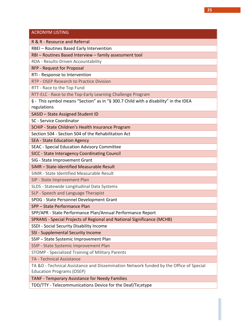#### ACRONYM LISTING

R & R - Resource and Referral

RBEI – Routines Based Early Intervention

RBI – Routines Based Interview – family assessment tool

RDA - Results-Driven Accountability

RFP - Request for Proposal

RTI - Response to Intervention

RTP - OSEP Research to Practice Division

RTT - Race to the Top Fund

RTT-ELC - Race to the Top-Early Learning Challenge Program

§ - This symbol means "Section" as in "§ 300.7 Child with a disability" in the IDEA regulations

SASID – State Assigned Student ID

SC - Service Coordinator

SCHIP - State Children's Health Insurance Program

Section 504 - Section 504 of the Rehabilitation Act

SEA - State Education Agency

SEAC - Special Education Advisory Committee

SICC - State Interagency Coordinating Council

SIG - State Improvement Grant

SiMR – State-identified Measurable Result

SIMR - State Identified Measurable Result

SIP - State Improvement Plan

SLDS - Statewide Longitudinal Data Systems

SLP - Speech and Language Therapist

SPDG - State Personnel Development Grant

SPP – State Performance Plan

SPP/APR - State Performance Plan/Annual Performance Report

SPRANS - Special Projects of Regional and National Significance (MCHB)

SSDI - Social Security Disability Income

SSI - Supplemental Security Income

SSIP – State Systemic Improvement Plan

SSIP - State Systemic Improvement Plan

STOMP - Specialized Training of Military Parents

TA - Technical Assistance

TA &D - Technical Assistance and Dissemination Network funded by the Office of Special Education Programs (OSEP)

TANF - Temporary Assistance for Needy Families

TDD/TTY - Telecommunications Device for the Deaf/Te;etype